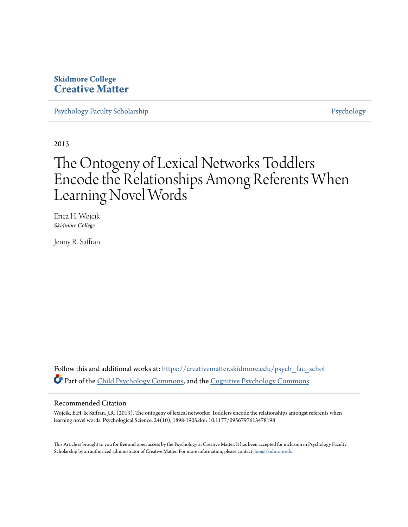# **Skidmore College [Creative Matter](https://creativematter.skidmore.edu?utm_source=creativematter.skidmore.edu%2Fpsych_fac_schol%2F4&utm_medium=PDF&utm_campaign=PDFCoverPages)**

[Psychology Faculty Scholarship](https://creativematter.skidmore.edu/psych_fac_schol?utm_source=creativematter.skidmore.edu%2Fpsych_fac_schol%2F4&utm_medium=PDF&utm_campaign=PDFCoverPages) [Psychology](https://creativematter.skidmore.edu/psych?utm_source=creativematter.skidmore.edu%2Fpsych_fac_schol%2F4&utm_medium=PDF&utm_campaign=PDFCoverPages) Faculty Scholarship Psychology

2013

# The Ontogeny of Lexical Networks Toddlers Encode the Relationships Among Referents When Learning Novel Words

Erica H. Wojcik *Skidmore College*

Jenny R. Saffran

Follow this and additional works at: [https://creativematter.skidmore.edu/psych\\_fac\\_schol](https://creativematter.skidmore.edu/psych_fac_schol?utm_source=creativematter.skidmore.edu%2Fpsych_fac_schol%2F4&utm_medium=PDF&utm_campaign=PDFCoverPages) Part of the [Child Psychology Commons](http://network.bepress.com/hgg/discipline/1023?utm_source=creativematter.skidmore.edu%2Fpsych_fac_schol%2F4&utm_medium=PDF&utm_campaign=PDFCoverPages), and the [Cognitive Psychology Commons](http://network.bepress.com/hgg/discipline/408?utm_source=creativematter.skidmore.edu%2Fpsych_fac_schol%2F4&utm_medium=PDF&utm_campaign=PDFCoverPages)

#### Recommended Citation

Wojcik, E.H. & Saffran, J.R. (2013). The ontogeny of lexical networks: Toddlers encode the relationships amongst referents when learning novel words. Psychological Science. 24(10), 1898-1905.doi: 10.1177/0956797613478198

This Article is brought to you for free and open access by the Psychology at Creative Matter. It has been accepted for inclusion in Psychology Faculty Scholarship by an authorized administrator of Creative Matter. For more information, please contact [jluo@skidmore.edu](mailto:jluo@skidmore.edu).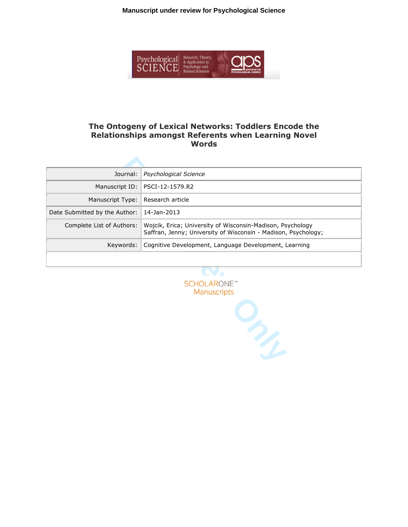**Manuscript under review for Psychological Science**



# **The Ontogeny of Lexical Networks: Toddlers Encode the Relationships amongst Referents when Learning Novel Words**

| Journal:                                      | Psychological Science                                                                                                        |  |
|-----------------------------------------------|------------------------------------------------------------------------------------------------------------------------------|--|
| Manuscript ID:                                | PSCI-12-1579.R2                                                                                                              |  |
| Manuscript Type:                              | Research article                                                                                                             |  |
| Date Submitted by the Author:                 | 14-Jan-2013                                                                                                                  |  |
| Complete List of Authors:                     | Wojcik, Erica; University of Wisconsin-Madison, Psychology<br>Saffran, Jenny; University of Wisconsin - Madison, Psychology; |  |
| Keywords:                                     | Cognitive Development, Language Development, Learning                                                                        |  |
|                                               |                                                                                                                              |  |
|                                               |                                                                                                                              |  |
| <b>SCHOLARONE</b> <sup>®</sup><br>Manuscripts |                                                                                                                              |  |
|                                               | Ry                                                                                                                           |  |

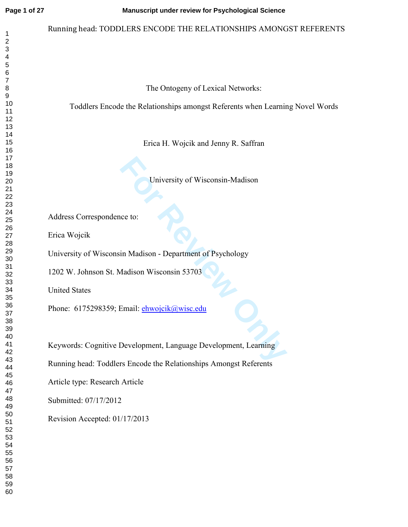# Running head: TODDLERS ENCODE THE RELATIONSHIPS AMONGST REFERENTS

The Ontogeny of Lexical Networks:

Toddlers Encode the Relationships amongst Referents when Learning Novel Words

Erica H. Wojcik and Jenny R. Saffran

University of Wisconsin-Madison

Address Correspondence to:

Erica Wojcik

University of Wisconsin Madison - Department of Psychology

1202 W. Johnson St. Madison Wisconsin 53703

United States

Phone: 6175298359; Email: ehwojcik@wisc.edu

University of Wisconsin-Madison<br>
ce to:<br>
in Madison - Department of Psychology<br>
Aadison Wisconsin 53703<br>
For Review of Psychology<br>
Email: <u>ehwojcik@wisc.edu</u><br>
Development, Language Development, Learning<br>
rs Encode the Rela Keywords: Cognitive Development, Language Development, Learning

Running head: Toddlers Encode the Relationships Amongst Referents

Article type: Research Article

Submitted: 07/17/2012

Revision Accepted: 01/17/2013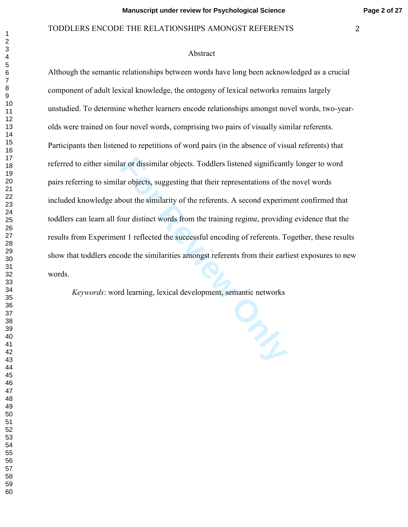#### Abstract

ar or dissimilar objects. Toddlers listened significant<br>ar objects, suggesting that their representations of the<br>bout the similarity of the referents. A second experim<br>bour distinct words from the training regime, providin Although the semantic relationships between words have long been acknowledged as a crucial component of adult lexical knowledge, the ontogeny of lexical networks remains largely unstudied. To determine whether learners encode relationships amongst novel words, two-yearolds were trained on four novel words, comprising two pairs of visually similar referents. Participants then listened to repetitions of word pairs (in the absence of visual referents) that referred to either similar or dissimilar objects. Toddlers listened significantly longer to word pairs referring to similar objects, suggesting that their representations of the novel words included knowledge about the similarity of the referents. A second experiment confirmed that toddlers can learn all four distinct words from the training regime, providing evidence that the results from Experiment 1 reflected the successful encoding of referents. Together, these results show that toddlers encode the similarities amongst referents from their earliest exposures to new words.

*Keywords*: word learning, lexical development, semantic networks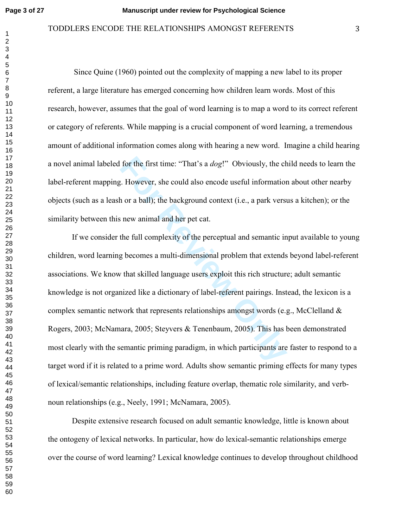$\mathbf{1}$ 

#### TODDLERS ENCODE THE RELATIONSHIPS AMONGST REFERENTS 3

 Since Quine (1960) pointed out the complexity of mapping a new label to its proper referent, a large literature has emerged concerning how children learn words. Most of this research, however, assumes that the goal of word learning is to map a word to its correct referent or category of referents. While mapping is a crucial component of word learning, a tremendous amount of additional information comes along with hearing a new word. Imagine a child hearing a novel animal labeled for the first time: "That's a *dog*!" Obviously, the child needs to learn the label-referent mapping. However, she could also encode useful information about other nearby objects (such as a leash or a ball); the background context (i.e., a park versus a kitchen); or the similarity between this new animal and her pet cat.

for the first time: "That's a *dog*!" Obviously, the cheapted in the first time: "That's a *dog*!" Obviously, the cheapted in the cheapted in the complexity of the perceptual and semantic in the full complexity of the per If we consider the full complexity of the perceptual and semantic input available to young children, word learning becomes a multi-dimensional problem that extends beyond label-referent associations. We know that skilled language users exploit this rich structure; adult semantic knowledge is not organized like a dictionary of label-referent pairings. Instead, the lexicon is a complex semantic network that represents relationships amongst words (e.g., McClelland  $\&$ Rogers, 2003; McNamara, 2005; Steyvers & Tenenbaum, 2005). This has been demonstrated most clearly with the semantic priming paradigm, in which participants are faster to respond to a target word if it is related to a prime word. Adults show semantic priming effects for many types of lexical/semantic relationships, including feature overlap, thematic role similarity, and verbnoun relationships (e.g., Neely, 1991; McNamara, 2005).

Despite extensive research focused on adult semantic knowledge, little is known about the ontogeny of lexical networks. In particular, how do lexical-semantic relationships emerge over the course of word learning? Lexical knowledge continues to develop throughout childhood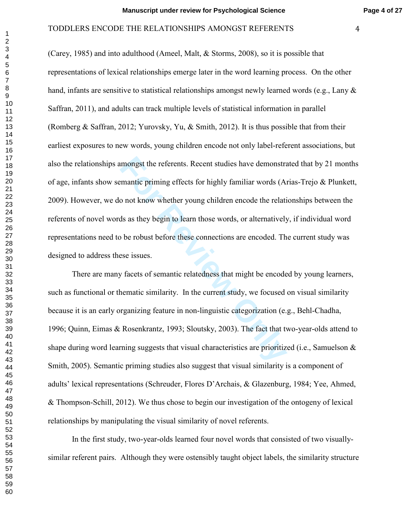mongst the referents. Recent studies have demonstral<br>
Formantic priming effects for highly familiar words (A)<br>
o not know whether young children encode the relation<br>
of the state of semantic relatedness are encoded. The<br>
s (Carey, 1985) and into adulthood (Ameel, Malt, & Storms, 2008), so it is possible that representations of lexical relationships emerge later in the word learning process. On the other hand, infants are sensitive to statistical relationships amongst newly learned words (e.g., Lany  $\&$ Saffran, 2011), and adults can track multiple levels of statistical information in parallel (Romberg & Saffran, 2012; Yurovsky, Yu, & Smith, 2012). It is thus possible that from their earliest exposures to new words, young children encode not only label-referent associations, but also the relationships amongst the referents. Recent studies have demonstrated that by 21 months of age, infants show semantic priming effects for highly familiar words (Arias-Trejo & Plunkett, 2009). However, we do not know whether young children encode the relationships between the referents of novel words as they begin to learn those words, or alternatively, if individual word representations need to be robust before these connections are encoded. The current study was designed to address these issues.

There are many facets of semantic relatedness that might be encoded by young learners, such as functional or thematic similarity. In the current study, we focused on visual similarity because it is an early organizing feature in non-linguistic categorization (e.g., Behl-Chadha, 1996; Quinn, Eimas & Rosenkrantz, 1993; Sloutsky, 2003). The fact that two-year-olds attend to shape during word learning suggests that visual characteristics are prioritized (i.e., Samuelson & Smith, 2005). Semantic priming studies also suggest that visual similarity is a component of adults' lexical representations (Schreuder, Flores D'Archais, & Glazenburg, 1984; Yee, Ahmed, & Thompson-Schill, 2012). We thus chose to begin our investigation of the ontogeny of lexical relationships by manipulating the visual similarity of novel referents.

In the first study, two-year-olds learned four novel words that consisted of two visuallysimilar referent pairs. Although they were ostensibly taught object labels, the similarity structure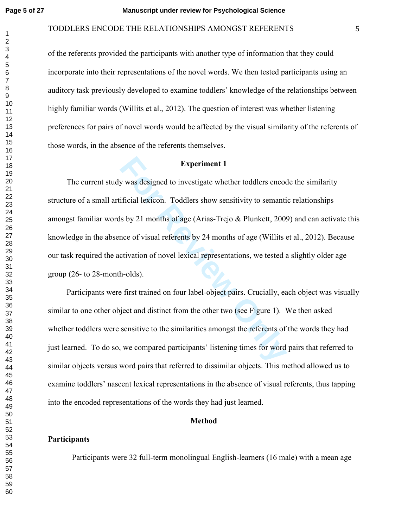$\mathbf{1}$ 

#### TODDLERS ENCODE THE RELATIONSHIPS AMONGST REFERENTS 5

of the referents provided the participants with another type of information that they could incorporate into their representations of the novel words. We then tested participants using an auditory task previously developed to examine toddlers' knowledge of the relationships between highly familiar words (Willits et al., 2012). The question of interest was whether listening preferences for pairs of novel words would be affected by the visual similarity of the referents of those words, in the absence of the referents themselves.

#### **Experiment 1**

**Experiment 1**<br>
y was designed to investigate whether toddlers encodence ificial lexicon. Toddlers show sensitivity to semanti<br>
s by 21 months of age (Arias-Trejo & Plunkett, 2009<br>
nce of visual referents by 24 months of a The current study was designed to investigate whether toddlers encode the similarity structure of a small artificial lexicon. Toddlers show sensitivity to semantic relationships amongst familiar words by 21 months of age (Arias-Trejo & Plunkett, 2009) and can activate this knowledge in the absence of visual referents by 24 months of age (Willits et al., 2012). Because our task required the activation of novel lexical representations, we tested a slightly older age group (26- to 28-month-olds).

 Participants were first trained on four label-object pairs. Crucially, each object was visually similar to one other object and distinct from the other two (see Figure 1). We then asked whether toddlers were sensitive to the similarities amongst the referents of the words they had just learned. To do so, we compared participants' listening times for word pairs that referred to similar objects versus word pairs that referred to dissimilar objects. This method allowed us to examine toddlers' nascent lexical representations in the absence of visual referents, thus tapping into the encoded representations of the words they had just learned.

#### **Method**

## **Participants**

Participants were 32 full-term monolingual English-learners (16 male) with a mean age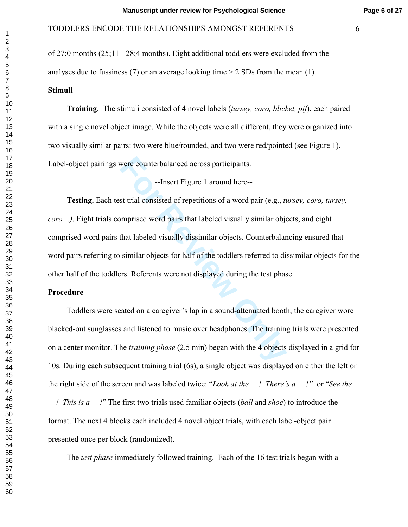of 27;0 months (25;11 - 28;4 months). Eight additional toddlers were excluded from the analyses due to fussiness (7) or an average looking time  $>$  2 SDs from the mean (1). **Stimuli** 

**Training***.*The stimuli consisted of 4 novel labels (*tursey, coro, blicket, pif*), each paired with a single novel object image. While the objects were all different, they were organized into two visually similar pairs: two were blue/rounded, and two were red/pointed (see Figure 1). Label-object pairings were counterbalanced across participants.

--Insert Figure 1 around here--

were counterbalanced across participants.<br>
--Insert Figure 1 around here--<br>
st trial consisted of repetitions of a word pair (e.g., *ti*<br>
simple word pairs that labeled visually similar objects<br>
that labeled visually dissi  **Testing.** Each test trial consisted of repetitions of a word pair (e.g., *tursey, coro, tursey, coro…)*. Eight trials comprised word pairs that labeled visually similar objects, and eight comprised word pairs that labeled visually dissimilar objects. Counterbalancing ensured that word pairs referring to similar objects for half of the toddlers referred to dissimilar objects for the other half of the toddlers. Referents were not displayed during the test phase.

#### **Procedure**

 Toddlers were seated on a caregiver's lap in a sound-attenuated booth; the caregiver wore blacked-out sunglasses and listened to music over headphones. The training trials were presented on a center monitor. The *training phase* (2.5 min) began with the 4 objects displayed in a grid for 10s. During each subsequent training trial (6s), a single object was displayed on either the left or the right side of the screen and was labeled twice: "*Look at the \_\_! There's a \_\_!"* or "*See the* 

*\_\_! This is a \_\_!*" The first two trials used familiar objects (*ball* and *shoe*) to introduce the format. The next 4 blocks each included 4 novel object trials, with each label-object pair presented once per block (randomized).

The *test phase* immediately followed training. Each of the 16 test trials began with a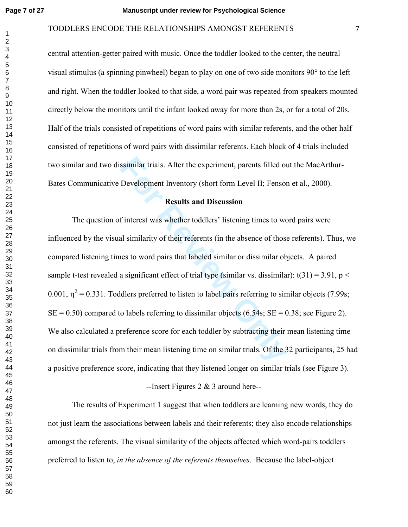central attention-getter paired with music. Once the toddler looked to the center, the neutral visual stimulus (a spinning pinwheel) began to play on one of two side monitors 90 ° to the left and right. When the toddler looked to that side, a word pair was repeated from speakers mounted directly below the monitors until the infant looked away for more than 2s, or for a total of 20s. Half of the trials consisted of repetitions of word pairs with similar referents, and the other half consisted of repetitions of word pairs with dissimilar referents. Each block of 4 trials included two similar and two dissimilar trials. After the experiment, parents filled out the MacArthur-Bates Communicative Development Inventory (short form Level II; Fenson et al., 2000).

### **Results and Discussion**

ssimilar trials. After the experiment, parents filled on<br>Development Inventory (short form Level II; Fensor<br>**Results and Discussion**<br>f interest was whether toddlers' listening times to wo<br>al similarity of their referents The question of interest was whether toddlers' listening times to word pairs were influenced by the visual similarity of their referents (in the absence of those referents). Thus, we compared listening times to word pairs that labeled similar or dissimilar objects. A paired sample t-test revealed a significant effect of trial type (similar vs. dissimilar):  $t(31) = 3.91$ ,  $p <$ 0.001,  $\eta^2$  = 0.331. Toddlers preferred to listen to label pairs referring to similar objects (7.99s;  $SE = 0.50$ ) compared to labels referring to dissimilar objects (6.54s;  $SE = 0.38$ ; see Figure 2). We also calculated a preference score for each toddler by subtracting their mean listening time on dissimilar trials from their mean listening time on similar trials. Of the 32 participants, 25 had a positive preference score, indicating that they listened longer on similar trials (see Figure 3).

#### --Insert Figures 2 & 3 around here--

The results of Experiment 1 suggest that when toddlers are learning new words, they do not just learn the associations between labels and their referents; they also encode relationships amongst the referents. The visual similarity of the objects affected which word-pairs toddlers preferred to listen to, *in the absence of the referents themselves*. Because the label-object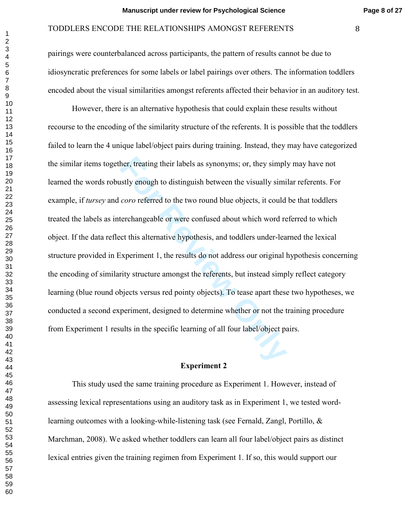pairings were counterbalanced across participants, the pattern of results cannot be due to idiosyncratic preferences for some labels or label pairings over others. The information toddlers encoded about the visual similarities amongst referents affected their behavior in an auditory test.

her, treating their labels as synonyms; or, they simplestly enough to distinguish between the visually simi *coro* referred to the two round blue objects, it could terchangeable or were confused about which word rect this However, there is an alternative hypothesis that could explain these results without recourse to the encoding of the similarity structure of the referents. It is possible that the toddlers failed to learn the 4 unique label/object pairs during training. Instead, they may have categorized the similar items together, treating their labels as synonyms; or, they simply may have not learned the words robustly enough to distinguish between the visually similar referents. For example, if *tursey* and *coro* referred to the two round blue objects, it could be that toddlers treated the labels as interchangeable or were confused about which word referred to which object. If the data reflect this alternative hypothesis, and toddlers under-learned the lexical structure provided in Experiment 1, the results do not address our original hypothesis concerning the encoding of similarity structure amongst the referents, but instead simply reflect category learning (blue round objects versus red pointy objects). To tease apart these two hypotheses, we conducted a second experiment, designed to determine whether or not the training procedure from Experiment 1 results in the specific learning of all four label/object pairs.

#### **Experiment 2**

 This study used the same training procedure as Experiment 1. However, instead of assessing lexical representations using an auditory task as in Experiment 1, we tested wordlearning outcomes with a looking-while-listening task (see Fernald, Zangl, Portillo, & Marchman, 2008). We asked whether toddlers can learn all four label/object pairs as distinct lexical entries given the training regimen from Experiment 1. If so, this would support our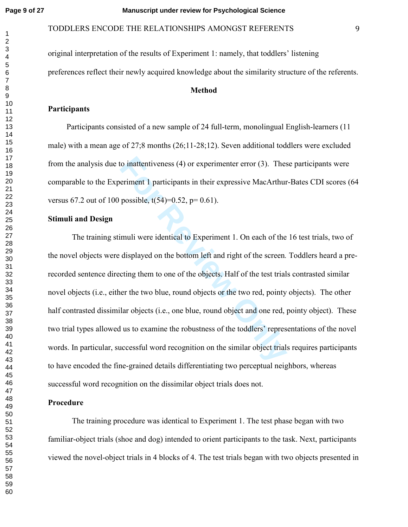original interpretation of the results of Experiment 1: namely, that toddlers' listening preferences reflect their newly acquired knowledge about the similarity structure of the referents.

#### **Method**

#### **Participants**

 Participants consisted of a new sample of 24 full-term, monolingual English-learners (11 male) with a mean age of 27;8 months (26;11-28;12). Seven additional toddlers were excluded from the analysis due to inattentiveness (4) or experimenter error (3). These participants were comparable to the Experiment 1 participants in their expressive MacArthur-Bates CDI scores (64 versus 67.2 out of 100 possible,  $t(54)=0.52$ ,  $p=0.61$ ).

#### **Stimuli and Design**

For Solution 1 and the interest (4) or experimenter error (3). Thes<br>
Forment 1 participants in their expressive MacArthur<br>
possible,  $t(54)=0.52$ ,  $p=0.61$ ).<br>
For Forment 1. On each of the<br>
displayed on the bottom left and The training stimuli were identical to Experiment 1. On each of the 16 test trials, two of the novel objects were displayed on the bottom left and right of the screen*.* Toddlers heard a prerecorded sentence directing them to one of the objects. Half of the test trials contrasted similar novel objects (i.e., either the two blue, round objects or the two red, pointy objects). The other half contrasted dissimilar objects (i.e., one blue, round object and one red, pointy object). These two trial types allowed us to examine the robustness of the toddlers' representations of the novel words. In particular, successful word recognition on the similar object trials requires participants to have encoded the fine-grained details differentiating two perceptual neighbors, whereas successful word recognition on the dissimilar object trials does not.

## **Procedure**

 The training procedure was identical to Experiment 1. The test phase began with two familiar-object trials (shoe and dog) intended to orient participants to the task. Next, participants viewed the novel-object trials in 4 blocks of 4. The test trials began with two objects presented in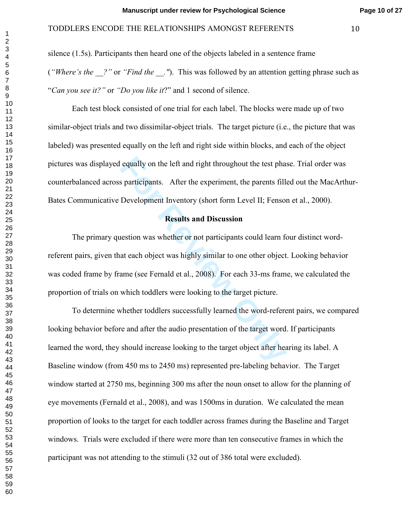silence (1.5s). Participants then heard one of the objects labeled in a sentence frame<br>
("Where's the \_\_?" or "Find the \_\_."). This was followed by an attention getting phrase such as<br>
"Can you see it?" or "Do you like it

Each test block consisted of one trial for each label. The blocks were made up of two similar-object trials and two dissimilar-object trials. The target picture (i.e., the picture that was labeled) was presented equally on the left and right side within blocks, and each of the object pictures was displayed equally on the left and right throughout the test phase. Trial order was counterbalanced across participants. After the experiment, the parents filled out the MacArthur-Bates Communicative Development Inventory (short form Level II; Fenson et al., 2000).

#### **Results and Discussion**

equally on the left and right throughout the test phase sparticipants. After the experiment, the parents fille<br>Development Inventory (short form Level II; Fenson<br>**Results and Discussion**<br>nestion was whether or not particip The primary question was whether or not participants could learn four distinct wordreferent pairs, given that each object was highly similar to one other object. Looking behavior was coded frame by frame (see Fernald et al., 2008). For each 33-ms frame, we calculated the proportion of trials on which toddlers were looking to the target picture.

To determine whether toddlers successfully learned the word-referent pairs, we compared looking behavior before and after the audio presentation of the target word. If participants learned the word, they should increase looking to the target object after hearing its label. A Baseline window (from 450 ms to 2450 ms) represented pre-labeling behavior. The Target window started at 2750 ms, beginning 300 ms after the noun onset to allow for the planning of eye movements (Fernald et al., 2008), and was 1500ms in duration. We calculated the mean proportion of looks to the target for each toddler across frames during the Baseline and Target windows. Trials were excluded if there were more than ten consecutive frames in which the participant was not attending to the stimuli (32 out of 386 total were excluded).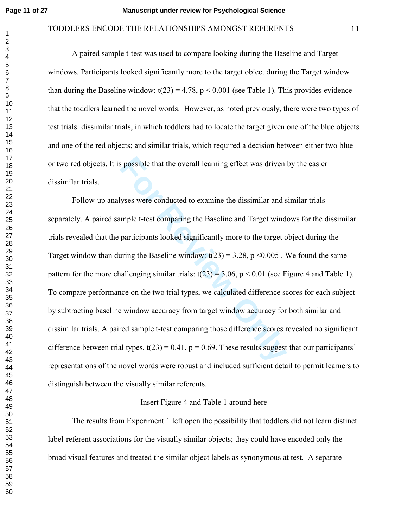A paired sample t-test was used to compare looking during the Baseline and Target windows. Participants looked significantly more to the target object during the Target window than during the Baseline window:  $t(23) = 4.78$ ,  $p < 0.001$  (see Table 1). This provides evidence that the toddlers learned the novel words. However, as noted previously, there were two types of test trials: dissimilar trials, in which toddlers had to locate the target given one of the blue objects and one of the red objects; and similar trials, which required a decision between either two blue or two red objects. It is possible that the overall learning effect was driven by the easier dissimilar trials.

s possible that the overall learning effect was driven<br>yses were conducted to examine the dissimilar and s<br>mple t-test comparing the Baseline and Target wind-<br>participants looked significantly more to the target o<br>uring t Follow-up analyses were conducted to examine the dissimilar and similar trials separately. A paired sample t-test comparing the Baseline and Target windows for the dissimilar trials revealed that the participants looked significantly more to the target object during the Target window than during the Baseline window:  $t(23) = 3.28$ , p <0.005. We found the same pattern for the more challenging similar trials:  $t(23) = 3.06$ ,  $p < 0.01$  (see Figure 4 and Table 1). To compare performance on the two trial types, we calculated difference scores for each subject by subtracting baseline window accuracy from target window accuracy for both similar and dissimilar trials. A paired sample t-test comparing those difference scores revealed no significant difference between trial types,  $t(23) = 0.41$ ,  $p = 0.69$ . These results suggest that our participants' representations of the novel words were robust and included sufficient detail to permit learners to distinguish between the visually similar referents.

--Insert Figure 4 and Table 1 around here--

The results from Experiment 1 left open the possibility that toddlers did not learn distinct label-referent associations for the visually similar objects; they could have encoded only the broad visual features and treated the similar object labels as synonymous at test. A separate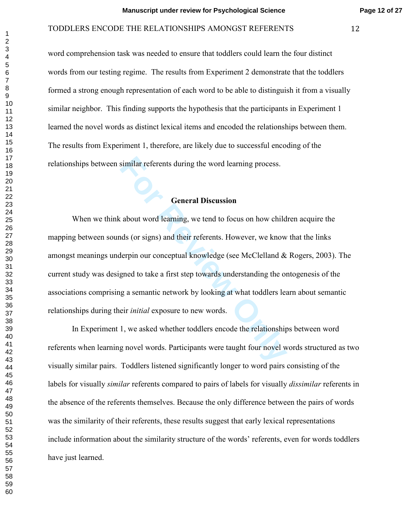word comprehension task was needed to ensure that toddlers could learn the four distinct words from our testing regime. The results from Experiment 2 demonstrate that the toddlers formed a strong enough representation of each word to be able to distinguish it from a visually similar neighbor. This finding supports the hypothesis that the participants in Experiment 1 learned the novel words as distinct lexical items and encoded the relationships between them. The results from Experiment 1, therefore, are likely due to successful encoding of the relationships between similar referents during the word learning process.

# **General Discussion**

similar referents during the word learning process.<br> **Formal Discussion**<br> **Formal Discussion**<br> **Formal Discussion**<br> **Formal Discussion**<br> **Formal**<br> **Formal**<br> **Formal ADISTE ADISTE ADISTE AND ADDED ASSEM AND AND ASSEM and th** When we think about word learning, we tend to focus on how children acquire the mapping between sounds (or signs) and their referents. However, we know that the links amongst meanings underpin our conceptual knowledge (see McClelland & Rogers, 2003). The current study was designed to take a first step towards understanding the ontogenesis of the associations comprising a semantic network by looking at what toddlers learn about semantic relationships during their *initial* exposure to new words.

In Experiment 1, we asked whether toddlers encode the relationships between word referents when learning novel words. Participants were taught four novel words structured as two visually similar pairs. Toddlers listened significantly longer to word pairs consisting of the labels for visually *similar* referents compared to pairs of labels for visually *dissimilar* referents in the absence of the referents themselves. Because the only difference between the pairs of words was the similarity of their referents, these results suggest that early lexical representations include information about the similarity structure of the words' referents, even for words toddlers have just learned.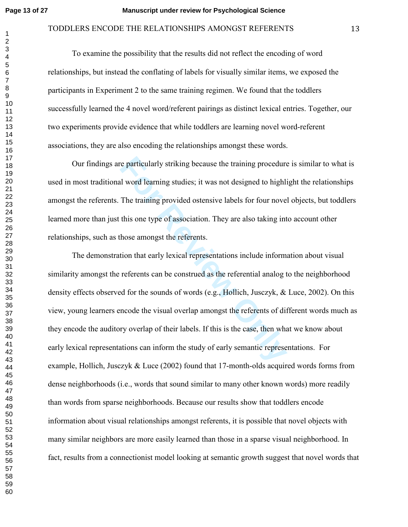$\mathbf{1}$  $\overline{2}$ 

#### TODDLERS ENCODE THE RELATIONSHIPS AMONGST REFERENTS 13

 To examine the possibility that the results did not reflect the encoding of word relationships, but instead the conflating of labels for visually similar items, we exposed the participants in Experiment 2 to the same training regimen. We found that the toddlers successfully learned the 4 novel word/referent pairings as distinct lexical entries. Together, our two experiments provide evidence that while toddlers are learning novel word-referent associations, they are also encoding the relationships amongst these words.

Our findings are particularly striking because the training procedure is similar to what is used in most traditional word learning studies; it was not designed to highlight the relationships amongst the referents. The training provided ostensive labels for four novel objects, but toddlers learned more than just this one type of association. They are also taking into account other relationships, such as those amongst the referents.

For Particularly striking because the training procedure<br>
I word learning studies; it was not designed to highli<br>
The training provided ostensive labels for four nove<br>
this one type of association. They are also taking int The demonstration that early lexical representations include information about visual similarity amongst the referents can be construed as the referential analog to the neighborhood density effects observed for the sounds of words (e.g., Hollich, Jusczyk, & Luce, 2002). On this view, young learners encode the visual overlap amongst the referents of different words much as they encode the auditory overlap of their labels. If this is the case, then what we know about early lexical representations can inform the study of early semantic representations. For example, Hollich, Jusczyk & Luce (2002) found that 17-month-olds acquired words forms from dense neighborhoods (i.e., words that sound similar to many other known words) more readily than words from sparse neighborhoods. Because our results show that toddlers encode information about visual relationships amongst referents, it is possible that novel objects with many similar neighbors are more easily learned than those in a sparse visual neighborhood. In fact, results from a connectionist model looking at semantic growth suggest that novel words that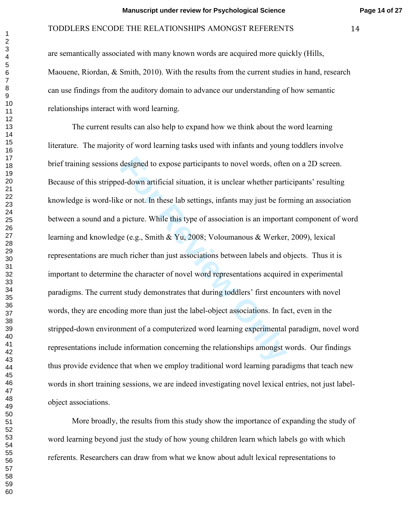are semantically associated with many known words are acquired more quickly (Hills, Maouene, Riordan, & Smith, 2010). With the results from the current studies in hand, research can use findings from the auditory domain to advance our understanding of how semantic relationships interact with word learning.

designed to expose participants to novel words, ofter<br>d-down artificial situation, it is unclear whether part<br>e or not. In these lab settings, infants may just be for<br>picture. While this type of association is an importa<br>g The current results can also help to expand how we think about the word learning literature. The majority of word learning tasks used with infants and young toddlers involve brief training sessions designed to expose participants to novel words, often on a 2D screen. Because of this stripped-down artificial situation, it is unclear whether participants' resulting knowledge is word-like or not. In these lab settings, infants may just be forming an association between a sound and a picture. While this type of association is an important component of word learning and knowledge (e.g., Smith & Yu, 2008; Voloumanous & Werker, 2009), lexical representations are much richer than just associations between labels and objects. Thus it is important to determine the character of novel word representations acquired in experimental paradigms. The current study demonstrates that during toddlers' first encounters with novel words, they are encoding more than just the label-object associations. In fact, even in the stripped-down environment of a computerized word learning experimental paradigm, novel word representations include information concerning the relationships amongst words. Our findings thus provide evidence that when we employ traditional word learning paradigms that teach new words in short training sessions, we are indeed investigating novel lexical entries, not just labelobject associations.

 More broadly, the results from this study show the importance of expanding the study of word learning beyond just the study of how young children learn which labels go with which referents. Researchers can draw from what we know about adult lexical representations to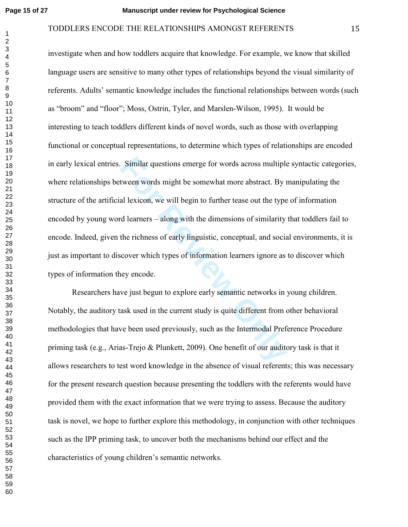$\mathbf{1}$  $\overline{2}$ 

## TODDLERS ENCODE THE RELATIONSHIPS AMONGST REFERENTS 15

**Similar questions emerge for words across multiple<br>tween words might be somewhat more abstract. By 1<br>al lexicon, we will begin to further tease out the type<br>d learners – along with the dimensions of similarity<br>the richnes** investigate when and how toddlers acquire that knowledge. For example, we know that skilled language users are sensitive to many other types of relationships beyond the visual similarity of referents. Adults' semantic knowledge includes the functional relationships between words (such as "broom" and "floor"; Moss, Ostrin, Tyler, and Marslen-Wilson, 1995). It would be interesting to teach toddlers different kinds of novel words, such as those with overlapping functional or conceptual representations, to determine which types of relationships are encoded in early lexical entries. Similar questions emerge for words across multiple syntactic categories, where relationships between words might be somewhat more abstract. By manipulating the structure of the artificial lexicon, we will begin to further tease out the type of information encoded by young word learners – along with the dimensions of similarity that toddlers fail to encode. Indeed, given the richness of early linguistic, conceptual, and social environments, it is just as important to discover which types of information learners ignore as to discover which types of information they encode.

Researchers have just begun to explore early semantic networks in young children. Notably, the auditory task used in the current study is quite different from other behavioral methodologies that have been used previously, such as the Intermodal Preference Procedure priming task (e.g., Arias-Trejo & Plunkett, 2009). One benefit of our auditory task is that it allows researchers to test word knowledge in the absence of visual referents; this was necessary for the present research question because presenting the toddlers with the referents would have provided them with the exact information that we were trying to assess. Because the auditory task is novel, we hope to further explore this methodology, in conjunction with other techniques such as the IPP priming task, to uncover both the mechanisms behind our effect and the characteristics of young children's semantic networks.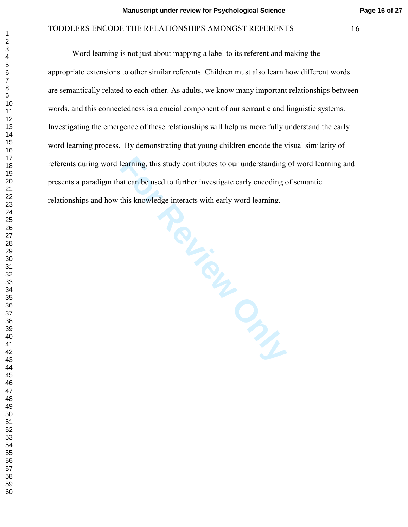Knowledge in My Concern Concern Concern Concern Concern Concern Concern Concern Concern Concern Concern Concern Concern Concern Concern Concern Concern Concern Concern Concern Concern Concern Concern Concern Concern Concer Word learning is not just about mapping a label to its referent and making the appropriate extensions to other similar referents. Children must also learn how different words are semantically related to each other. As adults, we know many important relationships between words, and this connectedness is a crucial component of our semantic and linguistic systems. Investigating the emergence of these relationships will help us more fully understand the early word learning process. By demonstrating that young children encode the visual similarity of referents during word learning, this study contributes to our understanding of word learning and presents a paradigm that can be used to further investigate early encoding of semantic relationships and how this knowledge interacts with early word learning.

 $\mathbf{1}$  $\overline{2}$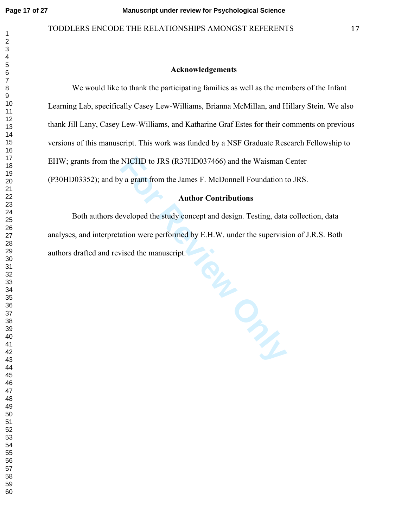# **Acknowledgements**

We would like to thank the participating families as well as the members of the Infant Learning Lab, specifically Casey Lew-Williams, Brianna McMillan, and Hillary Stein. We also thank Jill Lany, Casey Lew-Williams, and Katharine Graf Estes for their comments on previous versions of this manuscript. This work was funded by a NSF Graduate Research Fellowship to EHW; grants from the NICHD to JRS (R37HD037466) and the Waisman Center (P30HD03352); and by a grant from the James F. McDonnell Foundation to JRS.

# **Author Contributions**

Both authors developed the study concept and design. Testing, data collection, data analyses, and interpretation were performed by E.H.W. under the supervision of J.R.S. Both authors drafted and revised the manuscript.

**For Review Only**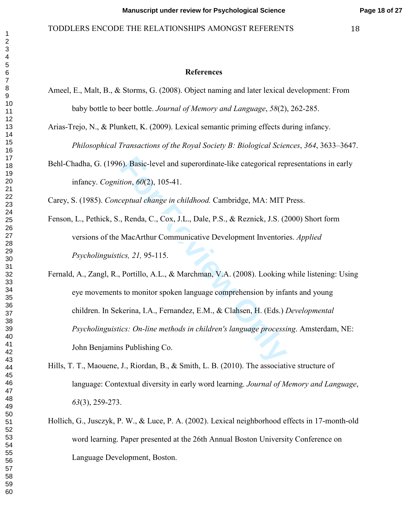#### **References**

- Ameel, E., Malt, B., & Storms, G. (2008). Object naming and later lexical development: From baby bottle to beer bottle. *Journal of Memory and Language*, *58*(2), 262-285.
- Arias-Trejo, N., & Plunkett, K. (2009). Lexical semantic priming effects during infancy. *Philosophical Transactions of the Royal Society B: Biological Sciences*, *364*, 3633–3647.
- Behl-Chadha, G. (1996). Basic-level and superordinate-like categorical representations in early infancy. *Cognition*, *60*(2), 105-41.

Carey, S. (1985). *Conceptual change in childhood.* Cambridge, MA: MIT Press.

- Fenson, L., Pethick, S., Renda, C., Cox, J.L., Dale, P.S., & Reznick, J.S. (2000) Short form versions of the MacArthur Communicative Development Inventories. *Applied Psycholinguistics, 21,* 95-115.
- 5). Basic-level and superordinate-like categorical rep<br> *Form, 60(2), 105-41.*<br> *Formal change in childhood.* Cambridge, MA: MIT<br> *Renda, C., Cox, J.L., Dale, P.S., & Reznick, J.S. (2*<br> *MacArthur Communicative Development* Fernald, A., Zangl, R., Portillo, A.L., & Marchman, V.A. (2008). Looking while listening: Using eye movements to monitor spoken language comprehension by infants and young children. In Sekerina, I.A., Fernandez, E.M., & Clahsen, H. (Eds.) *Developmental Psycholinguistics: On-line methods in children's language processing*. Amsterdam, NE: John Benjamins Publishing Co.
- Hills, T. T., Maouene, J., Riordan, B., & Smith, L. B. (2010). The associative structure of language: Contextual diversity in early word learning. *Journal of Memory and Language*, (3), 259-273.
- Hollich, G., Jusczyk, P. W., & Luce, P. A. (2002). Lexical neighborhood effects in 17-month-old word learning. Paper presented at the 26th Annual Boston University Conference on Language Development, Boston.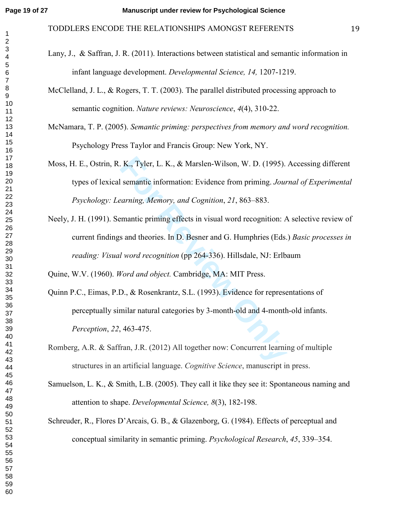$\mathbf{1}$  $\overline{2}$ 

## TODDLERS ENCODE THE RELATIONSHIPS AMONGST REFERENTS 19

- Lany, J., & Saffran, J. R. (2011). Interactions between statistical and semantic information in infant language development. *Developmental Science, 14,* 1207-1219.
- McClelland, J. L., & Rogers, T. T. (2003). The parallel distributed processing approach to semantic cognition. *Nature reviews: Neuroscience*, *4*(4), 310-22.
- McNamara, T. P. (2005). *Semantic priming: perspectives from memory and word recognition.* Psychology Press Taylor and Francis Group: New York, NY.
- **Follow Example 15 Example 10** Semantic information: Evidence from priming. Journal Semantic information: Evidence from priming. Journal Semantic priming effects in visual word recognition: A sand theories. In D. Besner an Moss, H. E., Ostrin, R. K., Tyler, L. K., & Marslen-Wilson, W. D. (1995). Accessing different types of lexical semantic information: Evidence from priming. *Journal of Experimental Psychology: Learning, Memory, and Cognition*, *21*, 863–883.
- Neely, J. H. (1991). Semantic priming effects in visual word recognition: A selective review of current findings and theories. In D. Besner and G. Humphries (Eds.) *Basic processes in reading: Visual word recognition* (pp 264-336). Hillsdale, NJ: Erlbaum

Quine, W.V. (1960). *Word and object.* Cambridge, MA: MIT Press.

- Quinn P.C., Eimas, P.D., & Rosenkrantz, S.L. (1993). Evidence for representations of perceptually similar natural categories by 3-month-old and 4-month-old infants. *Perception*, *22*, 463-475.
- Romberg, A.R. & Saffran, J.R. (2012) All together now: Concurrent learning of multiple structures in an artificial language. *Cognitive Science*, manuscript in press.
- Samuelson, L. K., & Smith, L.B. (2005). They call it like they see it: Spontaneous naming and attention to shape. *Developmental Science, 8*(3), 182-198.
- Schreuder, R., Flores D'Arcais, G. B., & Glazenborg, G. (1984). Effects of perceptual and conceptual similarity in semantic priming. *Psychological Research*, *45*, 339–354.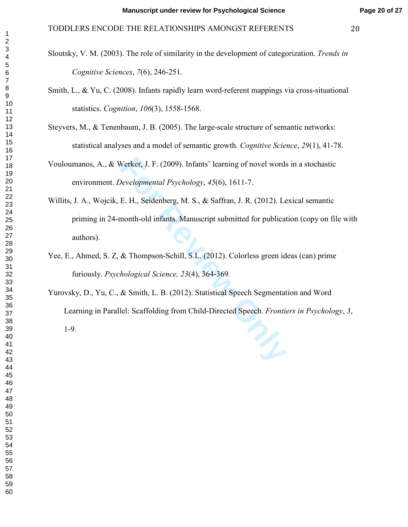- Sloutsky, V. M. (2003). The role of similarity in the development of categorization. *Trends in Cognitive Sciences*, *7*(6), 246-251.
- Smith, L., & Yu, C. (2008). Infants rapidly learn word-referent mappings via cross-situational statistics. *Cognition*, *106*(3), 1558-1568.
- Steyvers, M., & Tenenbaum, J. B. (2005). The large-scale structure of semantic networks: statistical analyses and a model of semantic growth. *Cognitive Science*, *29*(1), 41-78.
- Vouloumanos, A., & Werker, J. F. (2009). Infants' learning of novel words in a stochastic environment. *Developmental Psychology*, *45*(6), 1611-7.
- Verker, J. F. (2009). Infants' learning of novel words<br>
Developmental Psychology, 45(6), 1611-7.<br>
E. H., Seidenberg, M. S., & Saffran, J. R. (2012). Le<br>
month-old infants. Manuscript submitted for publicat<br>
& Thompson-Schi Willits, J. A., Wojcik, E. H., Seidenberg, M. S., & Saffran, J. R. (2012). Lexical semantic priming in 24-month-old infants. Manuscript submitted for publication (copy on file with authors).
- Yee, E., Ahmed, S. Z, & Thompson-Schill, S.L. (2012). Colorless green ideas (can) prime furiously. *Psychological Science, 23*(4), 364-369*.*
- Yurovsky, D., Yu, C., & Smith, L. B. (2012). Statistical Speech Segmentation and Word Learning in Parallel: Scaffolding from Child-Directed Speech. *Frontiers in Psychology*, *3*, 1-9.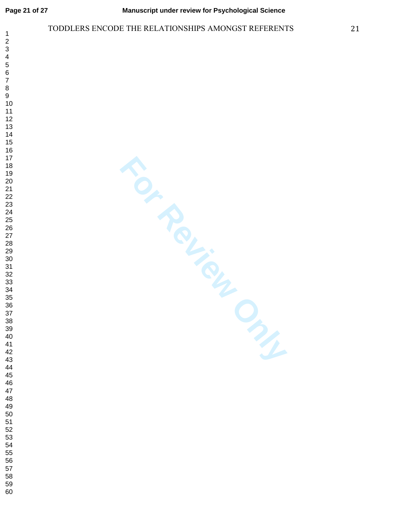$\mathbf{1}$  $\overline{2}$  $\overline{3}$  $\overline{\mathbf{4}}$  $\overline{7}$ 

# TODDLERS ENCODE THE RELATIONSHIPS AMONGST REFERENTS 21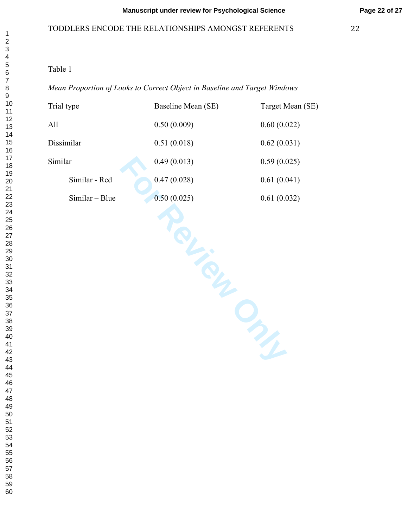## Table 1

 $\mathbf{1}$  $\overline{2}$  $\overline{\mathbf{4}}$  $\overline{7}$ 

*Mean Proportion of Looks to Correct Object in Baseline and Target Windows* 

| Trial type     | Baseline Mean (SE) | Target Mean (SE) |
|----------------|--------------------|------------------|
| $\mathbf{All}$ | 0.50(0.009)        | 0.60(0.022)      |
| Dissimilar     | 0.51(0.018)        | 0.62(0.031)      |
| Similar        | 0.49(0.013)        | 0.59(0.025)      |
| Similar - Red  | 0.47(0.028)        | 0.61(0.041)      |
| Similar - Blue | 0.50(0.025)        | 0.61(0.032)      |
|                |                    |                  |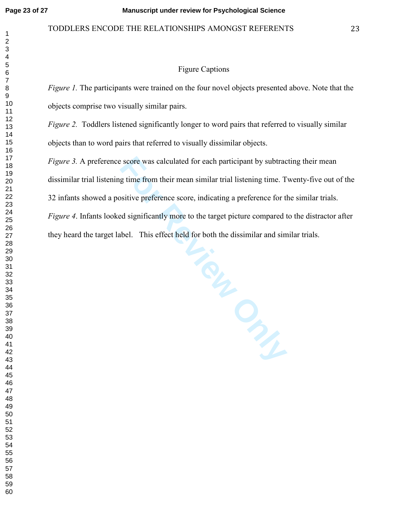$\mathbf{1}$ 

# TODDLERS ENCODE THE RELATIONSHIPS AMONGST REFERENTS 23

# Figure Captions

*Figure 1.* The participants were trained on the four novel objects presented above. Note that the objects comprise two visually similar pairs.

*Figure 2.* Toddlers listened significantly longer to word pairs that referred to visually similar objects than to word pairs that referred to visually dissimilar objects.

*Figure 3.* A preference score was calculated for each participant by subtracting their mean dissimilar trial listening time from their mean similar trial listening time. Twenty-five out of the 32 infants showed a positive preference score, indicating a preference for the similar trials. *Figure 4*. Infants looked significantly more to the target picture compared to the distractor after they heard the target label. This effect held for both the dissimilar and similar trials.

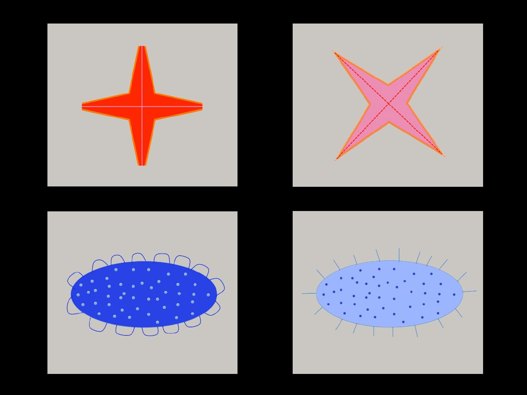





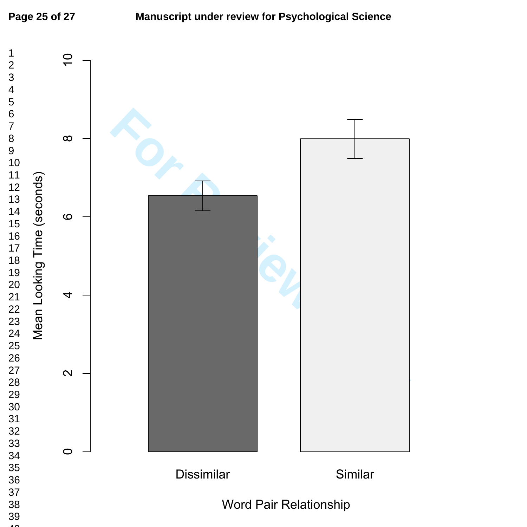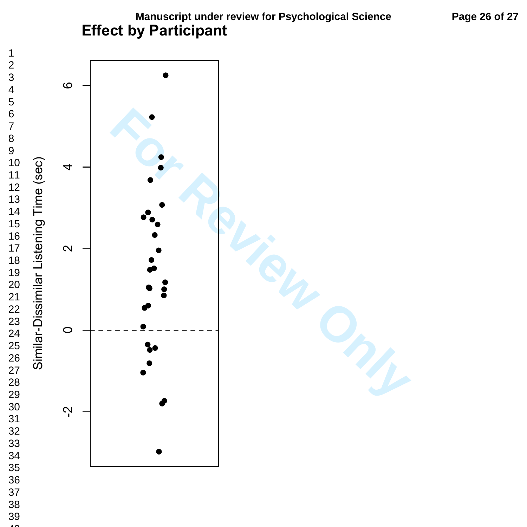